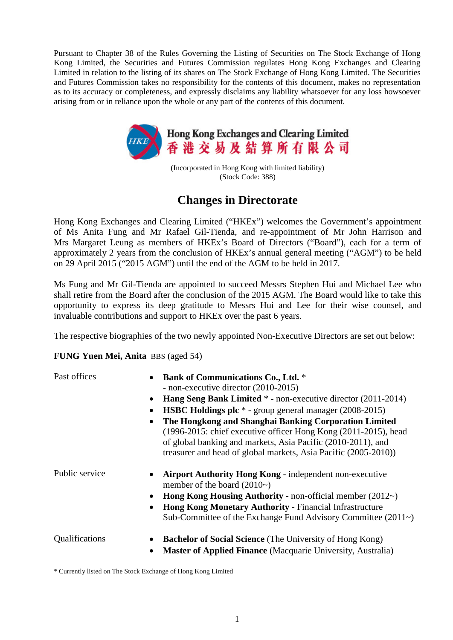Pursuant to Chapter 38 of the Rules Governing the Listing of Securities on The Stock Exchange of Hong Kong Limited, the Securities and Futures Commission regulates Hong Kong Exchanges and Clearing Limited in relation to the listing of its shares on The Stock Exchange of Hong Kong Limited. The Securities and Futures Commission takes no responsibility for the contents of this document, makes no representation as to its accuracy or completeness, and expressly disclaims any liability whatsoever for any loss howsoever arising from or in reliance upon the whole or any part of the contents of this document.



(Incorporated in Hong Kong with limited liability) (Stock Code: 388)

## **Changes in Directorate**

Hong Kong Exchanges and Clearing Limited ("HKEx") welcomes the Government's appointment of Ms Anita Fung and Mr Rafael Gil-Tienda, and re-appointment of Mr John Harrison and Mrs Margaret Leung as members of HKEx's Board of Directors ("Board"), each for a term of approximately 2 years from the conclusion of HKEx's annual general meeting ("AGM") to be held on 29 April 2015 ("2015 AGM") until the end of the AGM to be held in 2017.

Ms Fung and Mr Gil-Tienda are appointed to succeed Messrs Stephen Hui and Michael Lee who shall retire from the Board after the conclusion of the 2015 AGM. The Board would like to take this opportunity to express its deep gratitude to Messrs Hui and Lee for their wise counsel, and invaluable contributions and support to HKEx over the past 6 years.

The respective biographies of the two newly appointed Non-Executive Directors are set out below:

## **FUNG Yuen Mei, Anita** BBS (aged 54)

- Past offices **Bank of Communications Co., Ltd.** \* **-** non-executive director (2010-2015)
	- **Hang Seng Bank Limited** \* **-** non-executive director (2011-2014)
	- **HSBC Holdings plc** \* **-** group general manager (2008-2015)
	- **The Hongkong and Shanghai Banking Corporation Limited** (1996-2015: chief executive officer Hong Kong (2011-2015), head of global banking and markets, Asia Pacific (2010-2011), and treasurer and head of global markets, Asia Pacific (2005-2010))
- Public service **Airport Authority Hong Kong** independent non-executive member of the board (2010~)
	- **Hong Kong Housing Authority -** non-official member (2012~)
	- **Hong Kong Monetary Authority -** Financial Infrastructure Sub-Committee of the Exchange Fund Advisory Committee (2011~)

- Qualifications **Bachelor of Social Science** (The University of Hong Kong)
	- **Master of Applied Finance** (Macquarie University, Australia)

\* Currently listed on The Stock Exchange of Hong Kong Limited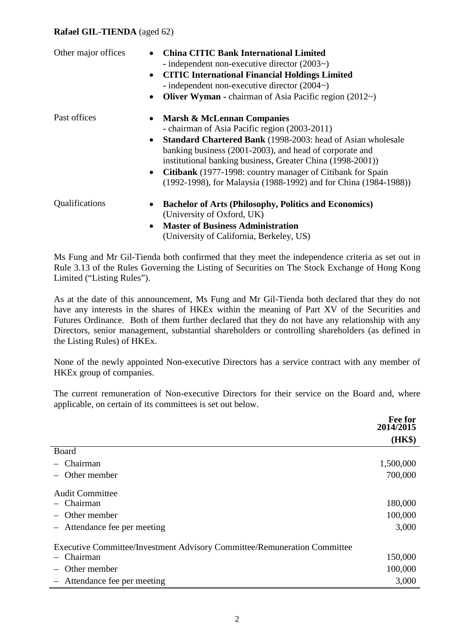## **Rafael GIL-TIENDA** (aged 62)

| Other major offices | <b>China CITIC Bank International Limited</b><br>- independent non-executive director $(2003\text{~})$<br><b>CITIC International Financial Holdings Limited</b><br>$\bullet$<br>- independent non-executive director $(2004\sim)$<br><b>Oliver Wyman -</b> chairman of Asia Pacific region $(2012)$<br>$\bullet$                                                                                                                                    |
|---------------------|-----------------------------------------------------------------------------------------------------------------------------------------------------------------------------------------------------------------------------------------------------------------------------------------------------------------------------------------------------------------------------------------------------------------------------------------------------|
| Past offices        | Marsh & McLennan Companies<br>$\bullet$<br>- chairman of Asia Pacific region (2003-2011)<br><b>Standard Chartered Bank</b> (1998-2003: head of Asian wholesale<br>$\bullet$<br>banking business (2001-2003), and head of corporate and<br>institutional banking business, Greater China (1998-2001))<br>Citibank (1977-1998: country manager of Citibank for Spain<br>$\bullet$<br>(1992-1998), for Malaysia (1988-1992) and for China (1984-1988)) |
| Qualifications      | <b>Bachelor of Arts (Philosophy, Politics and Economics)</b><br>(University of Oxford, UK)<br><b>Master of Business Administration</b><br>$\bullet$<br>(University of California, Berkeley, US)                                                                                                                                                                                                                                                     |

Ms Fung and Mr Gil-Tienda both confirmed that they meet the independence criteria as set out in Rule 3.13 of the Rules Governing the Listing of Securities on The Stock Exchange of Hong Kong Limited ("Listing Rules").

As at the date of this announcement, Ms Fung and Mr Gil-Tienda both declared that they do not have any interests in the shares of HKEx within the meaning of Part XV of the Securities and Futures Ordinance. Both of them further declared that they do not have any relationship with any Directors, senior management, substantial shareholders or controlling shareholders (as defined in the Listing Rules) of HKEx.

None of the newly appointed Non-executive Directors has a service contract with any member of HKEx group of companies.

The current remuneration of Non-executive Directors for their service on the Board and, where applicable, on certain of its committees is set out below.

|                                                                                 | <b>Fee for</b><br>2014/2015 |
|---------------------------------------------------------------------------------|-----------------------------|
|                                                                                 | (HK\$)                      |
| Board                                                                           |                             |
| - Chairman                                                                      | 1,500,000                   |
| - Other member                                                                  | 700,000                     |
| <b>Audit Committee</b>                                                          |                             |
| Chairman                                                                        | 180,000                     |
| - Other member                                                                  | 100,000                     |
| - Attendance fee per meeting                                                    | 3,000                       |
| <b>Executive Committee/Investment Advisory Committee/Remuneration Committee</b> |                             |
| - Chairman                                                                      | 150,000                     |
| Other member                                                                    | 100,000                     |
| - Attendance fee per meeting                                                    | 3,000                       |